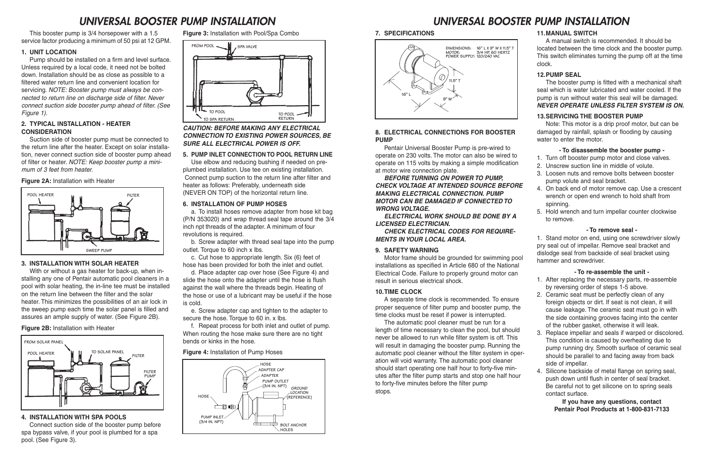This booster pump is 3/4 horsepower with a 1.5 service factor producing a minimum of 50 psi at 12 GPM.

#### **1. UNIT LOCATION**

Suction side of booster pump must be connected to the return line after the heater. Except on solar installation, never connect suction side of booster pump ahead of filter or heater. NOTE: Keep booster pump a minimum of 3 feet from heater.

Pump should be installed on a firm and level surface. Unless required by a local code, it need not be bolted down. Installation should be as close as possible to a filtered water return line and convenient location for servicing. NOTE: Booster pump must always be connected to return line on discharge side of filter. Never connect suction side booster pump ahead of filter. (See Figure 1).

#### **2. TYPICAL INSTALLATION - HEATER CONSIDERATION**

#### **Figure 2A:** Installation with Heater

#### **3. INSTALLATION WITH SOLAR HEATER**

With or without a gas heater for back-up, when installing any one of Pentair automatic pool cleaners in a pool with solar heating, the in-line tee must be installed on the return line between the filter and the solar heater. This minimizes the possibilities of an air lock in the sweep pump each time the solar panel is filled and assures an ample supply of water. (See Figure 2B).

#### **Figure 2B:** Installation with Heater

#### **4. INSTALLATION WITH SPA POOLS**

Connect suction side of the booster pump before spa bypass valve, if your pool is plumbed for a spa pool. (See Figure 3).

**Figure 3:** Installation with Pool/Spa Combo

#### **CAUTION: BEFORE MAKING ANY ELECTRICAL CONNECTION TO EXISTING POWER SOURCES, BE SURE ALL ELECTRICAL POWER IS OFF.**

#### **5. PUMP INLET CONNECTION TO POOL RETURN LINE**

Use elbow and reducing bushing if needed on preplumbed installation. Use tee on existing installation. Connect pump suction to the return line after filter and heater as follows: Preferably, underneath side (NEVER ON TOP) of the horizontal return line.

#### **6. INSTALLATION OF PUMP HOSES**

a. To install hoses remove adapter from hose kit bag (P/N 353020) and wrap thread seal tape around the 3/4 inch npt threads of the adapter. A minimum of four revolutions is required.

b. Screw adapter with thread seal tape into the pump outlet. Torque to 60 inch x lbs.

c. Cut hose to appropriate length. Six (6) feet of hose has been provided for both the inlet and outlet.

d. Place adapter cap over hose (See Figure 4) and slide the hose onto the adapter until the hose is flush against the wall where the threads begin. Heating of the hose or use of a lubricant may be useful if the hose is cold.

e. Screw adapter cap and tighten to the adapter to secure the hose. Torque to 60 in. x lbs.

f. Repeat process for both inlet and outlet of pump. When routing the hose make sure there are no tight bends or kinks in the hose.

#### **Figure 4:** Installation of Pump Hoses

**7. SPECIFICATIONS**

#### **8. ELECTRICAL CONNECTIONS FOR BOOSTER PUMP**

Pentair Universal Booster Pump is pre-wired to operate on 230 volts. The motor can also be wired to operate on 115 volts by making a simple modification at motor wire connection plate.

#### **BEFORE TURNING ON POWER TO PUMP, CHECK VOLTAGE AT INTENDED SOURCE BEFORE MAKING ELECTRICAL CONNECTION. PUMP MOTOR CAN BE DAMAGED IF CONNECTED TO WRONG VOLTAGE.**

**ELECTRICAL WORK SHOULD BE DONE BY A LICENSED ELECTRICIAN.**

**CHECK ELECTRICAL CODES FOR REQUIRE-MENTS IN YOUR LOCAL AREA.**

#### **9. SAFETY WARNING**

Motor frame should be grounded for swimming pool installations as specified in Article 680 of the National Electrical Code. Failure to properly ground motor can result in serious electrical shock.

#### **10.TIME CLOCK**

A separate time clock is recommended. To ensure proper sequence of filter pump and booster pump, the time clocks must be reset if power is interrupted.

The automatic pool cleaner must be run for a length of time necessary to clean the pool, but should never be allowed to run while filter system is off. This will result in damaging the booster pump. Running the automatic pool cleaner without the filter system in operation will void warranty. The automatic pool cleaner should start operating one half hour to forty-five minutes after the filter pump starts and stop one half hour to forty-five minutes before the filter pump stops.

#### **11.MANUAL SWITCH**

A manual switch is recommended. It should be located between the time clock and the booster pump. This switch eliminates turning the pump off at the time clock.

### **12.PUMP SEAL**

The booster pump is fitted with a mechanical shaft seal which is water lubricated and water cooled. If the pump is run without water this seal will be damaged. **NEVER OPERATE UNLESS FILTER SYSTEM IS ON.**

### **13.SERVICING THE BOOSTER PUMP**

Note: This motor is a drip proof motor, but can be damaged by rainfall, splash or flooding by causing water to enter the motor.

### **- To disassemble the booster pump -**

- 1. Turn off booster pump motor and close valves.
- 2. Unscrew suction line in middle of volute.
- 3. Loosen nuts and remove bolts between booster pump volute and seal bracket.
- 4. On back end of motor remove cap. Use a crescent wrench or open end wrench to hold shaft from spinning.
- 5. Hold wrench and turn impellar counter clockwise to remove.

#### **- To remove seal -**

1. Stand motor on end, using one screwdriver slowly pry seal out of impellar. Remove seal bracket and dislodge seal from backside of seal bracket using hammer and screwdriver.

#### **- To re-assemble the unit -**

- 1. After replacing the necessary parts, re-assemble by reversing order of steps 1-5 above.
- 2. Ceramic seat must be perfectly clean of any foreign objects or dirt. If seat is not clean, it will cause leakage. The ceramic seat must go in with the side containing grooves facing into the center of the rubber gasket, otherwise it will leak.
- 3. Replace impellar and seals if warped or discolored. This condition is caused by overheating due to pump running dry. Smooth surface of ceramic seal should be parallel to and facing away from back side of impellar.
- 4. Silicone backside of metal flange on spring seal, push down until flush in center of seal bracket. Be careful not to get silicone on to spring seals contact surface.

**If you have any questions, contact Pentair Pool Products at 1-800-831-7133**

# *UNIVERSAL BOOSTER PUMP INSTALLATION UNIVERSAL BOOSTER PUMP INSTALLATION*